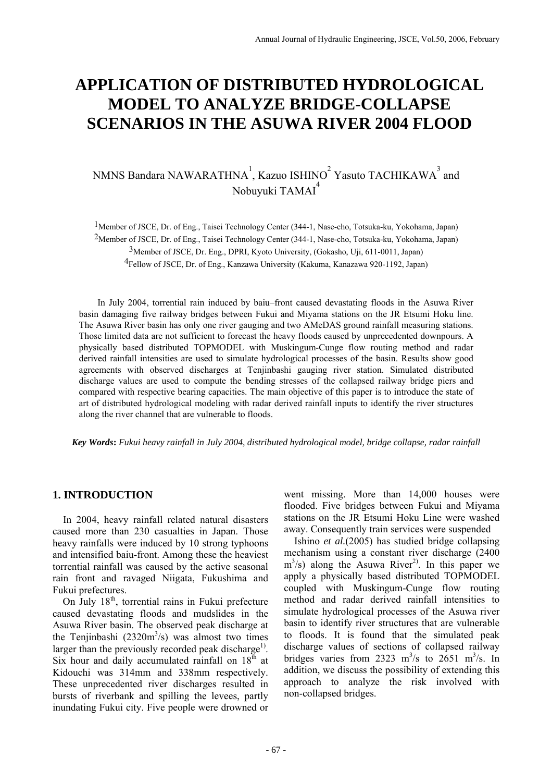# **APPLICATION OF DISTRIBUTED HYDROLOGICAL MODEL TO ANALYZE BRIDGE-COLLAPSE SCENARIOS IN THE ASUWA RIVER 2004 FLOOD**

## NMNS Bandara NAWARATHNA $^{\rm l}$ , Kazuo ISHINO $^{\rm 2}$  Yasuto TACHIKAWA $^{\rm 3}$  and Nobuyuki TAMAI 4

1Member of JSCE, Dr. of Eng., Taisei Technology Center (344-1, Nase-cho, Totsuka-ku, Yokohama, Japan) 2Member of JSCE, Dr. of Eng., Taisei Technology Center (344-1, Nase-cho, Totsuka-ku, Yokohama, Japan) 3Member of JSCE, Dr. Eng., DPRI, Kyoto University, (Gokasho, Uji, 611-0011, Japan) 4Fellow of JSCE, Dr. of Eng., Kanzawa University (Kakuma, Kanazawa 920-1192, Japan)

 In July 2004, torrential rain induced by baiu–front caused devastating floods in the Asuwa River basin damaging five railway bridges between Fukui and Miyama stations on the JR Etsumi Hoku line. The Asuwa River basin has only one river gauging and two AMeDAS ground rainfall measuring stations. Those limited data are not sufficient to forecast the heavy floods caused by unprecedented downpours. A physically based distributed TOPMODEL with Muskingum-Cunge flow routing method and radar derived rainfall intensities are used to simulate hydrological processes of the basin. Results show good agreements with observed discharges at Tenjinbashi gauging river station. Simulated distributed discharge values are used to compute the bending stresses of the collapsed railway bridge piers and compared with respective bearing capacities. The main objective of this paper is to introduce the state of art of distributed hydrological modeling with radar derived rainfall inputs to identify the river structures along the river channel that are vulnerable to floods.

*Key Words***:** *Fukui heavy rainfall in July 2004, distributed hydrological model, bridge collapse, radar rainfall* 

## **1. INTRODUCTION**

 In 2004, heavy rainfall related natural disasters caused more than 230 casualties in Japan. Those heavy rainfalls were induced by 10 strong typhoons and intensified baiu-front. Among these the heaviest torrential rainfall was caused by the active seasonal rain front and ravaged Niigata, Fukushima and Fukui prefectures.

On July  $18<sup>th</sup>$ , torrential rains in Fukui prefecture caused devastating floods and mudslides in the Asuwa River basin. The observed peak discharge at the Tenjinbashi  $(2320m^3/s)$  was almost two times larger than the previously recorded peak discharge<sup>1)</sup>. Six hour and daily accumulated rainfall on  $18<sup>th</sup>$  at Kidouchi was 314mm and 338mm respectively. These unprecedented river discharges resulted in bursts of riverbank and spilling the levees, partly inundating Fukui city. Five people were drowned or went missing. More than 14,000 houses were flooded. Five bridges between Fukui and Miyama stations on the JR Etsumi Hoku Line were washed away. Consequently train services were suspended

 Ishino *et al.*(2005) has studied bridge collapsing mechanism using a constant river discharge (2400  $\text{m}^3$ /s) along the Asuwa River<sup>2)</sup>. In this paper we apply a physically based distributed TOPMODEL coupled with Muskingum-Cunge flow routing method and radar derived rainfall intensities to simulate hydrological processes of the Asuwa river basin to identify river structures that are vulnerable to floods. It is found that the simulated peak discharge values of sections of collapsed railway bridges varies from 2323  $\text{m}^3\text{/s}$  to 2651  $\text{m}^3\text{/s}$ . In addition, we discuss the possibility of extending this approach to analyze the risk involved with non-collapsed bridges.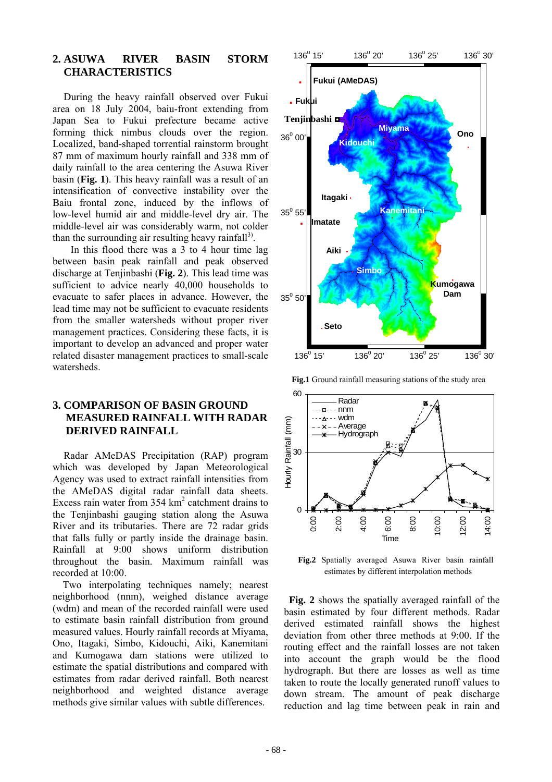## **2. ASUWA RIVER BASIN STORM CHARACTERISTICS**

 During the heavy rainfall observed over Fukui area on 18 July 2004, baiu-front extending from Japan Sea to Fukui prefecture became active forming thick nimbus clouds over the region. Localized, band-shaped torrential rainstorm brought 87 mm of maximum hourly rainfall and 338 mm of daily rainfall to the area centering the Asuwa River basin (**Fig. 1**). This heavy rainfall was a result of an intensification of convective instability over the Baiu frontal zone, induced by the inflows of low-level humid air and middle-level dry air. The middle-level air was considerably warm, not colder than the surrounding air resulting heavy rainfall<sup>3)</sup>.

In this flood there was a 3 to 4 hour time lag between basin peak rainfall and peak observed discharge at Tenjinbashi (**Fig. 2**). This lead time was sufficient to advice nearly 40,000 households to evacuate to safer places in advance. However, the lead time may not be sufficient to evacuate residents from the smaller watersheds without proper river management practices. Considering these facts, it is important to develop an advanced and proper water related disaster management practices to small-scale watersheds.

## **3. COMPARISON OF BASIN GROUND MEASURED RAINFALL WITH RADAR DERIVED RAINFALL**

 Radar AMeDAS Precipitation (RAP) program which was developed by Japan Meteorological Agency was used to extract rainfall intensities from the AMeDAS digital radar rainfall data sheets. Excess rain water from  $354 \text{ km}^2$  catchment drains to the Tenjinbashi gauging station along the Asuwa River and its tributaries. There are 72 radar grids that falls fully or partly inside the drainage basin. Rainfall at 9:00 shows uniform distribution throughout the basin. Maximum rainfall was recorded at 10:00.

 Two interpolating techniques namely; nearest neighborhood (nnm), weighed distance average (wdm) and mean of the recorded rainfall were used to estimate basin rainfall distribution from ground measured values. Hourly rainfall records at Miyama, Ono, Itagaki, Simbo, Kidouchi, Aiki, Kanemitani and Kumogawa dam stations were utilized to estimate the spatial distributions and compared with estimates from radar derived rainfall. Both nearest neighborhood and weighted distance average methods give similar values with subtle differences.



**Fig.1** Ground rainfall measuring stations of the study area



**Fig.2** Spatially averaged Asuwa River basin rainfall estimates by different interpolation methods

**Fig. 2** shows the spatially averaged rainfall of the basin estimated by four different methods. Radar derived estimated rainfall shows the highest deviation from other three methods at 9:00. If the routing effect and the rainfall losses are not taken into account the graph would be the flood hydrograph. But there are losses as well as time taken to route the locally generated runoff values to down stream. The amount of peak discharge reduction and lag time between peak in rain and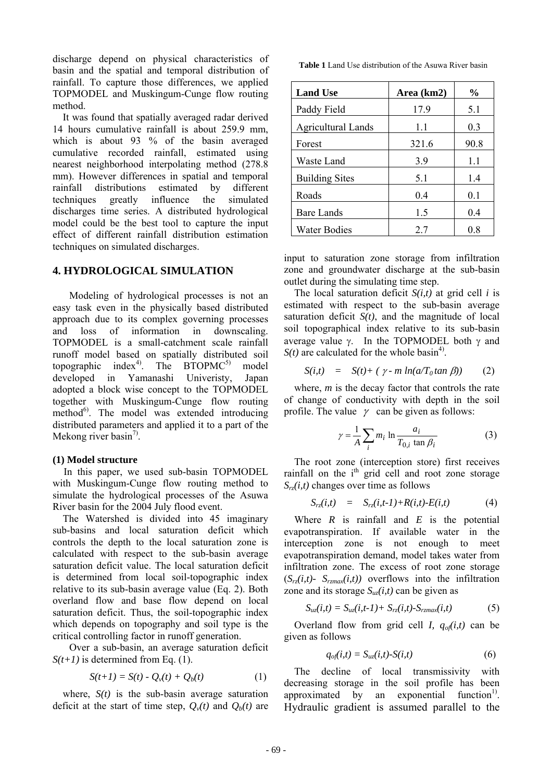discharge depend on physical characteristics of basin and the spatial and temporal distribution of rainfall. To capture those differences, we applied TOPMODEL and Muskingum-Cunge flow routing method.

 It was found that spatially averaged radar derived 14 hours cumulative rainfall is about 259.9 mm which is about 93 % of the basin averaged cumulative recorded rainfall, estimated using nearest neighborhood interpolating method (278.8 mm). However differences in spatial and temporal rainfall distributions estimated by different techniques greatly influence the simulated discharges time series. A distributed hydrological model could be the best tool to capture the input effect of different rainfall distribution estimation techniques on simulated discharges.

#### **4. HYDROLOGICAL SIMULATION**

 Modeling of hydrological processes is not an easy task even in the physically based distributed approach due to its complex governing processes and loss of information in downscaling. TOPMODEL is a small-catchment scale rainfall runoff model based on spatially distributed soil topographic index<sup>4)</sup>. The  $BTOPMC^{5}$  model developed in Yamanashi Univeristy, Japan adopted a block wise concept to the TOPMODEL together with Muskingum-Cunge flow routing method<sup>6)</sup>. The model was extended introducing distributed parameters and applied it to a part of the Mekong river basin<sup>7)</sup>.

#### **(1) Model structure**

In this paper, we used sub-basin TOPMODEL with Muskingum-Cunge flow routing method to simulate the hydrological processes of the Asuwa River basin for the 2004 July flood event.

 The Watershed is divided into 45 imaginary sub-basins and local saturation deficit which controls the depth to the local saturation zone is calculated with respect to the sub-basin average saturation deficit value. The local saturation deficit is determined from local soil-topographic index relative to its sub-basin average value (Eq. 2). Both overland flow and base flow depend on local saturation deficit. Thus, the soil-topographic index which depends on topography and soil type is the critical controlling factor in runoff generation.

Over a sub-basin, an average saturation deficit  $S(t+1)$  is determined from Eq. (1).

$$
S(t+1) = S(t) - Q_v(t) + Q_b(t)
$$
 (1)

where,  $S(t)$  is the sub-basin average saturation deficit at the start of time step,  $Q_v(t)$  and  $Q_b(t)$  are

**Table 1** Land Use distribution of the Asuwa River basin

| <b>Land Use</b>           | Area (km2) | $\frac{0}{0}$ |  |
|---------------------------|------------|---------------|--|
| Paddy Field               | 17.9       | 5.1           |  |
| <b>Agricultural Lands</b> | 1.1        | 0.3           |  |
| Forest                    | 321.6      | 90.8          |  |
| Waste Land                | 3.9        | 1.1           |  |
| <b>Building Sites</b>     | 5.1        | 1.4           |  |
| Roads                     | 0.4        | 0.1           |  |
| <b>Bare Lands</b>         | 1.5        | 0.4           |  |
| <b>Water Bodies</b>       | 27         | 0.8           |  |

input to saturation zone storage from infiltration zone and groundwater discharge at the sub-basin outlet during the simulating time step.

 The local saturation deficit *S(i,t)* at grid cell *i* is estimated with respect to the sub-basin average saturation deficit  $S(t)$ , and the magnitude of local soil topographical index relative to its sub-basin average value  $\gamma$ . In the TOPMODEL both  $\gamma$  and  $S(t)$  are calculated for the whole basin<sup>4)</sup>.

$$
S(i,t) = S(t) + (\gamma \cdot m \ln(a/T_0 \tan \beta)) \qquad (2)
$$

 where, *m* is the decay factor that controls the rate of change of conductivity with depth in the soil profile. The value  $\gamma$  can be given as follows:

$$
\gamma = \frac{1}{A} \sum_{i} m_i \ln \frac{a_i}{T_{0,i} \tan \beta_i}
$$
 (3)

 The root zone (interception store) first receives rainfall on the  $i<sup>th</sup>$  grid cell and root zone storage *Srz(i,t)* changes over time as follows

$$
S_{rz}(i,t) = S_{rz}(i,t-1) + R(i,t) - E(i,t)
$$
 (4)

Where  $R$  is rainfall and  $E$  is the potential evapotranspiration. If available water in the interception zone is not enough to meet evapotranspiration demand, model takes water from infiltration zone. The excess of root zone storage  $(S_{rz}(i,t)$ -  $S_{rzmax}(i,t))$  overflows into the infiltration zone and its storage  $S_{uz}(i,t)$  can be given as

$$
S_{uz}(i,t) = S_{uz}(i,t-1) + S_{rz}(i,t) - S_{rzmax}(i,t)
$$
 (5)

Overland flow from grid cell *I,*  $q_{of}(i,t)$  can be given as follows

$$
q_{of}(i,t) = S_{uz}(i,t) - S(i,t)
$$
 (6)

 The decline of local transmissivity with decreasing storage in the soil profile has been approximated by an exponential function<sup>1)</sup>. Hydraulic gradient is assumed parallel to the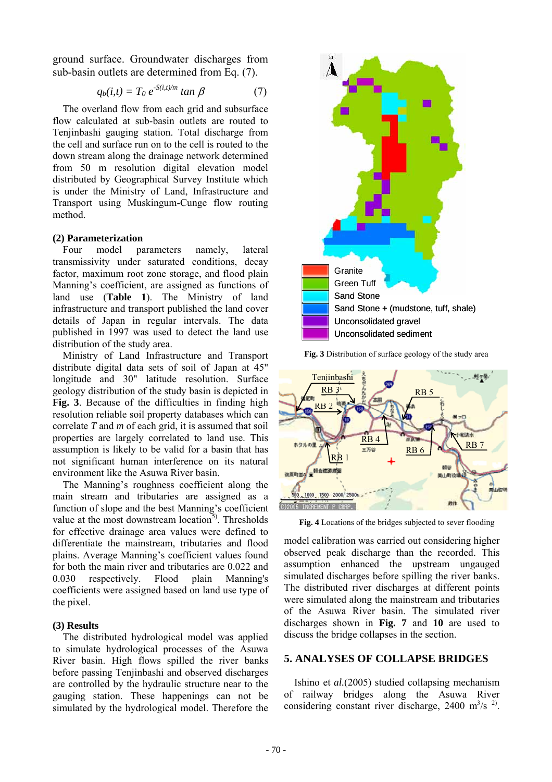ground surface. Groundwater discharges from sub-basin outlets are determined from Eq. (7).

$$
q_b(i,t) = T_0 e^{-S(i,t)/m} \tan \beta \tag{7}
$$

 The overland flow from each grid and subsurface flow calculated at sub-basin outlets are routed to Tenjinbashi gauging station. Total discharge from the cell and surface run on to the cell is routed to the down stream along the drainage network determined from 50 m resolution digital elevation model distributed by Geographical Survey Institute which is under the Ministry of Land, Infrastructure and Transport using Muskingum-Cunge flow routing method.

#### **(2) Parameterization**

 Four model parameters namely, lateral transmissivity under saturated conditions, decay factor, maximum root zone storage, and flood plain Manning's coefficient, are assigned as functions of land use (**Table 1**). The Ministry of land infrastructure and transport published the land cover details of Japan in regular intervals. The data published in 1997 was used to detect the land use distribution of the study area.

 Ministry of Land Infrastructure and Transport distribute digital data sets of soil of Japan at 45" longitude and 30" latitude resolution. Surface geology distribution of the study basin is depicted in **Fig. 3**. Because of the difficulties in finding high resolution reliable soil property databases which can correlate *T* and *m* of each grid, it is assumed that soil properties are largely correlated to land use. This assumption is likely to be valid for a basin that has not significant human interference on its natural environment like the Asuwa River basin.

 The Manning's roughness coefficient along the main stream and tributaries are assigned as a function of slope and the best Manning's coefficient value at the most downstream location<sup>5)</sup>. Thresholds for effective drainage area values were defined to differentiate the mainstream, tributaries and flood plains. Average Manning's coefficient values found for both the main river and tributaries are 0.022 and 0.030 respectively. Flood plain Manning's coefficients were assigned based on land use type of the pixel.

#### **(3) Results**

 The distributed hydrological model was applied to simulate hydrological processes of the Asuwa River basin. High flows spilled the river banks before passing Tenjinbashi and observed discharges are controlled by the hydraulic structure near to the gauging station. These happenings can not be simulated by the hydrological model. Therefore the



**Fig. 3** Distribution of surface geology of the study area



**Fig. 4** Locations of the bridges subjected to sever flooding

model calibration was carried out considering higher observed peak discharge than the recorded. This assumption enhanced the upstream ungauged simulated discharges before spilling the river banks. The distributed river discharges at different points were simulated along the mainstream and tributaries of the Asuwa River basin. The simulated river discharges shown in **Fig. 7** and **10** are used to discuss the bridge collapses in the section.

#### **5. ANALYSES OF COLLAPSE BRIDGES**

 Ishino et *al.*(2005) studied collapsing mechanism of railway bridges along the Asuwa River considering constant river discharge,  $2400 \text{ m}^3/\text{s}^{2}$ .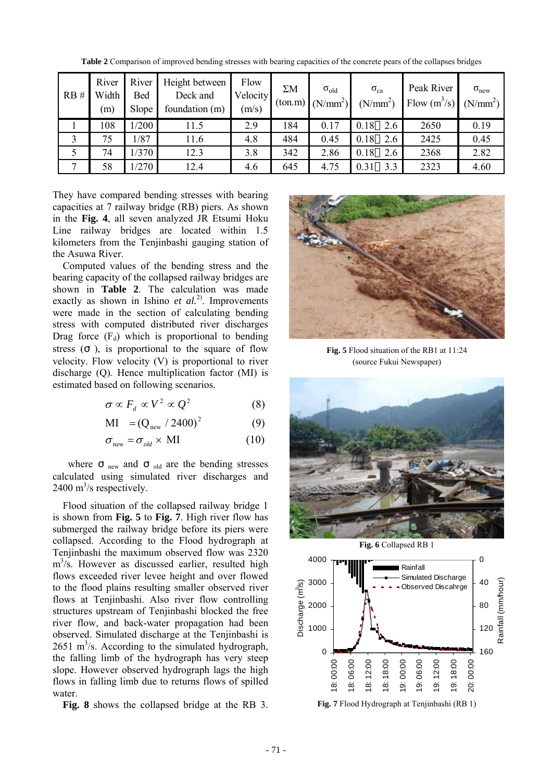| RB#          | River<br>Width<br>m) | River<br>Bed<br>Slope | Height between<br>Deck and<br>foundation (m) | Flow<br>Velocity<br>(m/s) | $\Sigma M$ | $\sigma_{old}$<br>$\text{(ton.m)} \mid (\text{N/mm}^2)$ | $\sigma_{ca}$<br>(N/mm <sup>2</sup> ) | Peak River<br>Flow $(m^3/s)$ | $\sigma_{\text{new}}$<br>(N/mm <sup>2</sup> ) |
|--------------|----------------------|-----------------------|----------------------------------------------|---------------------------|------------|---------------------------------------------------------|---------------------------------------|------------------------------|-----------------------------------------------|
|              | 108                  | /200                  | 11.5                                         | 2.9                       | 184        | 0.17                                                    | 0.18<br>2.6                           | 2650                         | 0.19                                          |
| 3            | 75                   | 1/87                  | 11.6                                         | 4.8                       | 484        | 0.45                                                    | 0.18<br>2.6                           | 2425                         | 0.45                                          |
|              | 74                   | /370                  | 12.3                                         | 3.8                       | 342        | 2.86                                                    | 0.18<br>2.6                           | 2368                         | 2.82                                          |
| $\mathbf{r}$ | 58                   | /270                  | 12.4                                         | 4.6                       | 645        | 4.75                                                    | 3.3<br>0.31                           | 2323                         | 4.60                                          |

**Table 2** Comparison of improved bending stresses with bearing capacities of the concrete pears of the collapses bridges

They have compared bending stresses with bearing capacities at 7 railway bridge (RB) piers. As shown in the **Fig. 4**, all seven analyzed JR Etsumi Hoku Line railway bridges are located within 1.5 kilometers from the Tenjinbashi gauging station of the Asuwa River.

 Computed values of the bending stress and the bearing capacity of the collapsed railway bridges are shown in **Table 2**. The calculation was made exactly as shown in Ishino *et al.*<sup>2)</sup>. Improvements were made in the section of calculating bending stress with computed distributed river discharges Drag force  $(F_d)$  which is proportional to bending stress ( ), is proportional to the square of flow velocity. Flow velocity (V) is proportional to river discharge (Q). Hence multiplication factor (MI) is estimated based on following scenarios.

$$
\sigma \propto F_d \propto V^2 \propto Q^2 \tag{8}
$$

$$
MI = (Q_{new} / 2400)^2
$$
 (9)

$$
\sigma_{\text{new}} = \sigma_{\text{old}} \times \text{MI} \tag{10}
$$

where  $_{\text{new}}$  and  $_{\text{old}}$  are the bending stresses calculated using simulated river discharges and  $2400 \text{ m}^3/\text{s}$  respectively.

 Flood situation of the collapsed railway bridge 1 is shown from **Fig. 5** to **Fig. 7**. High river flow has submerged the railway bridge before its piers were collapsed. According to the Flood hydrograph at Tenjinbashi the maximum observed flow was 2320  $m<sup>3</sup>/s$ . However as discussed earlier, resulted high flows exceeded river levee height and over flowed to the flood plains resulting smaller observed river flows at Tenjinbashi. Also river flow controlling structures upstream of Tenjinbashi blocked the free river flow, and back-water propagation had been observed. Simulated discharge at the Tenjinbashi is  $2651 \text{ m}^3$ /s. According to the simulated hydrograph, the falling limb of the hydrograph has very steep slope. However observed hydrograph lags the high flows in falling limb due to returns flows of spilled water.

**Fig. 8** shows the collapsed bridge at the RB 3.



**Fig. 5** Flood situation of the RB1 at 11:24 (source Fukui Newspaper)





**Fig. 7** Flood Hydrograph at Tenjinbashi (RB 1)